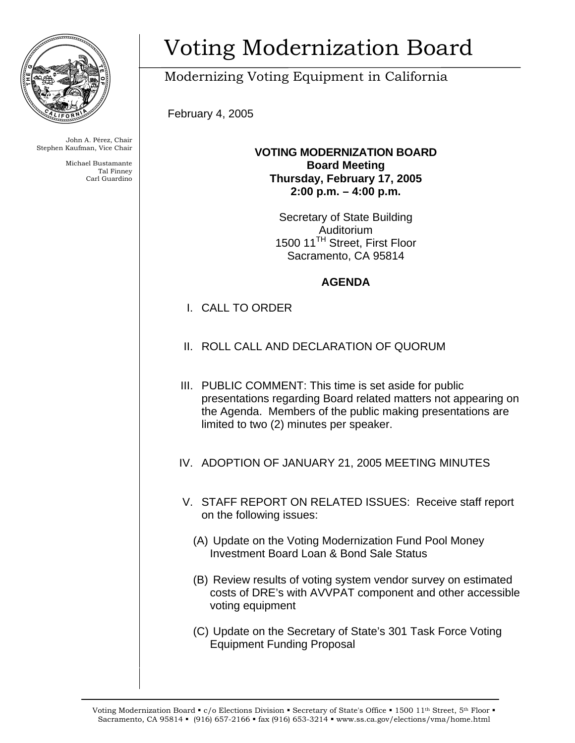

John A. Pérez, Chair Stephen Kaufman, Vice Chair

> Michael Bustamante Tal Finney Carl Guardino

# Voting Modernization Board

# Modernizing Voting Equipment in California

February 4, 2005

**VOTING MODERNIZATION BOARD Board Meeting Thursday, February 17, 2005 2:00 p.m. – 4:00 p.m.** 

> Secretary of State Building Auditorium 1500 11<sup>TH</sup> Street, First Floor Sacramento, CA 95814

## **AGENDA**

- I. CALL TO ORDER
- II. ROLL CALL AND DECLARATION OF QUORUM
- III. PUBLIC COMMENT: This time is set aside for public presentations regarding Board related matters not appearing on the Agenda. Members of the public making presentations are limited to two (2) minutes per speaker.
- IV. ADOPTION OF JANUARY 21, 2005 MEETING MINUTES
- V. STAFF REPORT ON RELATED ISSUES: Receive staff report on the following issues:
	- (A) Update on the Voting Modernization Fund Pool Money Investment Board Loan & Bond Sale Status
	- (B) Review results of voting system vendor survey on estimated costs of DRE's with AVVPAT component and other accessible voting equipment
	- (C) Update on the Secretary of State's 301 Task Force Voting Equipment Funding Proposal